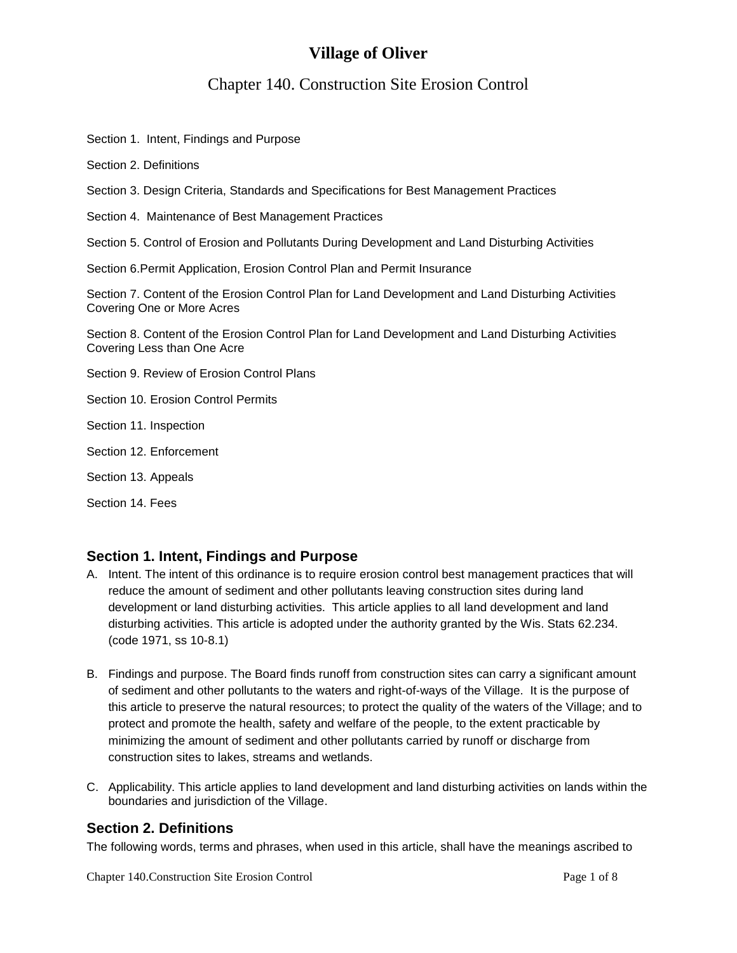## **Village of Oliver**

# Chapter 140. Construction Site Erosion Control

Section 1. Intent, Findings and Purpose

Section 2. Definitions

Section 3. Design Criteria, Standards and Specifications for Best Management Practices

Section 4. Maintenance of Best Management Practices

Section 5. Control of Erosion and Pollutants During Development and Land Disturbing Activities

Section 6.Permit Application, Erosion Control Plan and Permit Insurance

Section 7. Content of the Erosion Control Plan for Land Development and Land Disturbing Activities Covering One or More Acres

Section 8. Content of the Erosion Control Plan for Land Development and Land Disturbing Activities Covering Less than One Acre

Section 9. Review of Erosion Control Plans

Section 10. Erosion Control Permits

Section 11. Inspection

- Section 12. Enforcement
- Section 13. Appeals

Section 14. Fees

#### **Section 1. Intent, Findings and Purpose**

- A. Intent. The intent of this ordinance is to require erosion control best management practices that will reduce the amount of sediment and other pollutants leaving construction sites during land development or land disturbing activities. This article applies to all land development and land disturbing activities. This article is adopted under the authority granted by the Wis. Stats 62.234. (code 1971, ss 10-8.1)
- B. Findings and purpose. The Board finds runoff from construction sites can carry a significant amount of sediment and other pollutants to the waters and right-of-ways of the Village. It is the purpose of this article to preserve the natural resources; to protect the quality of the waters of the Village; and to protect and promote the health, safety and welfare of the people, to the extent practicable by minimizing the amount of sediment and other pollutants carried by runoff or discharge from construction sites to lakes, streams and wetlands.
- C. Applicability. This article applies to land development and land disturbing activities on lands within the boundaries and jurisdiction of the Village.

#### **Section 2. Definitions**

The following words, terms and phrases, when used in this article, shall have the meanings ascribed to

Chapter 140.Construction Site Erosion Control Page 1 of 8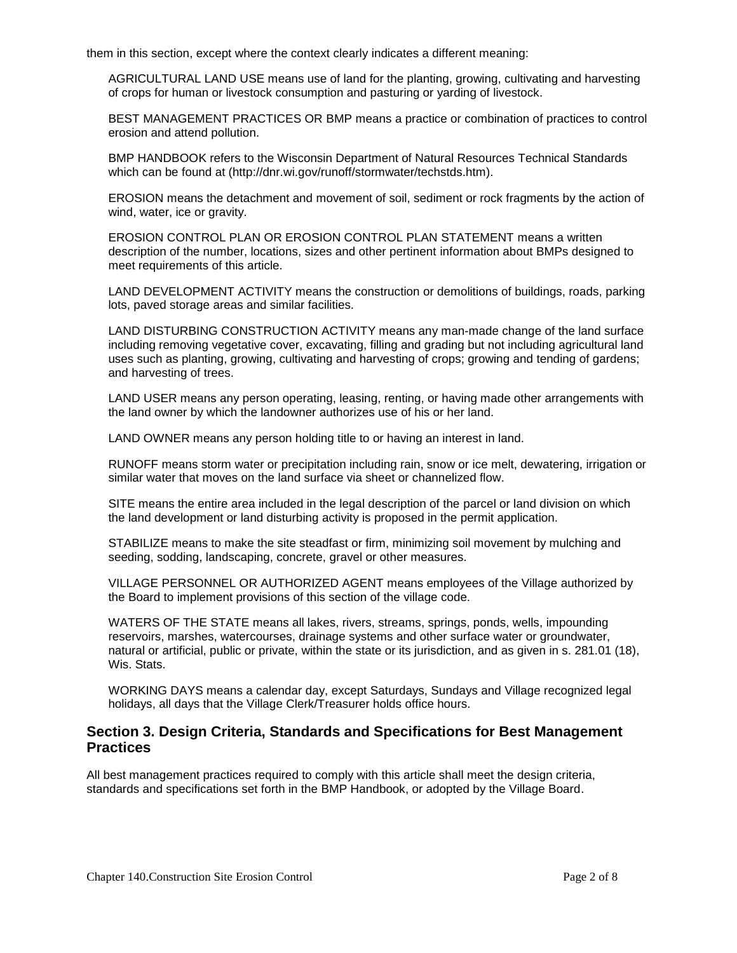them in this section, except where the context clearly indicates a different meaning:

AGRICULTURAL LAND USE means use of land for the planting, growing, cultivating and harvesting of crops for human or livestock consumption and pasturing or yarding of livestock.

BEST MANAGEMENT PRACTICES OR BMP means a practice or combination of practices to control erosion and attend pollution.

BMP HANDBOOK refers to the Wisconsin Department of Natural Resources Technical Standards which can be found at (http://dnr.wi.gov/runoff/stormwater/techstds.htm).

EROSION means the detachment and movement of soil, sediment or rock fragments by the action of wind, water, ice or gravity.

EROSION CONTROL PLAN OR EROSION CONTROL PLAN STATEMENT means a written description of the number, locations, sizes and other pertinent information about BMPs designed to meet requirements of this article.

LAND DEVELOPMENT ACTIVITY means the construction or demolitions of buildings, roads, parking lots, paved storage areas and similar facilities.

LAND DISTURBING CONSTRUCTION ACTIVITY means any man-made change of the land surface including removing vegetative cover, excavating, filling and grading but not including agricultural land uses such as planting, growing, cultivating and harvesting of crops; growing and tending of gardens; and harvesting of trees.

LAND USER means any person operating, leasing, renting, or having made other arrangements with the land owner by which the landowner authorizes use of his or her land.

LAND OWNER means any person holding title to or having an interest in land.

RUNOFF means storm water or precipitation including rain, snow or ice melt, dewatering, irrigation or similar water that moves on the land surface via sheet or channelized flow.

SITE means the entire area included in the legal description of the parcel or land division on which the land development or land disturbing activity is proposed in the permit application.

STABILIZE means to make the site steadfast or firm, minimizing soil movement by mulching and seeding, sodding, landscaping, concrete, gravel or other measures.

VILLAGE PERSONNEL OR AUTHORIZED AGENT means employees of the Village authorized by the Board to implement provisions of this section of the village code.

WATERS OF THE STATE means all lakes, rivers, streams, springs, ponds, wells, impounding reservoirs, marshes, watercourses, drainage systems and other surface water or groundwater, natural or artificial, public or private, within the state or its jurisdiction, and as given in s. 281.01 (18), Wis. Stats.

WORKING DAYS means a calendar day, except Saturdays, Sundays and Village recognized legal holidays, all days that the Village Clerk/Treasurer holds office hours.

#### **Section 3. Design Criteria, Standards and Specifications for Best Management Practices**

All best management practices required to comply with this article shall meet the design criteria, standards and specifications set forth in the BMP Handbook, or adopted by the Village Board.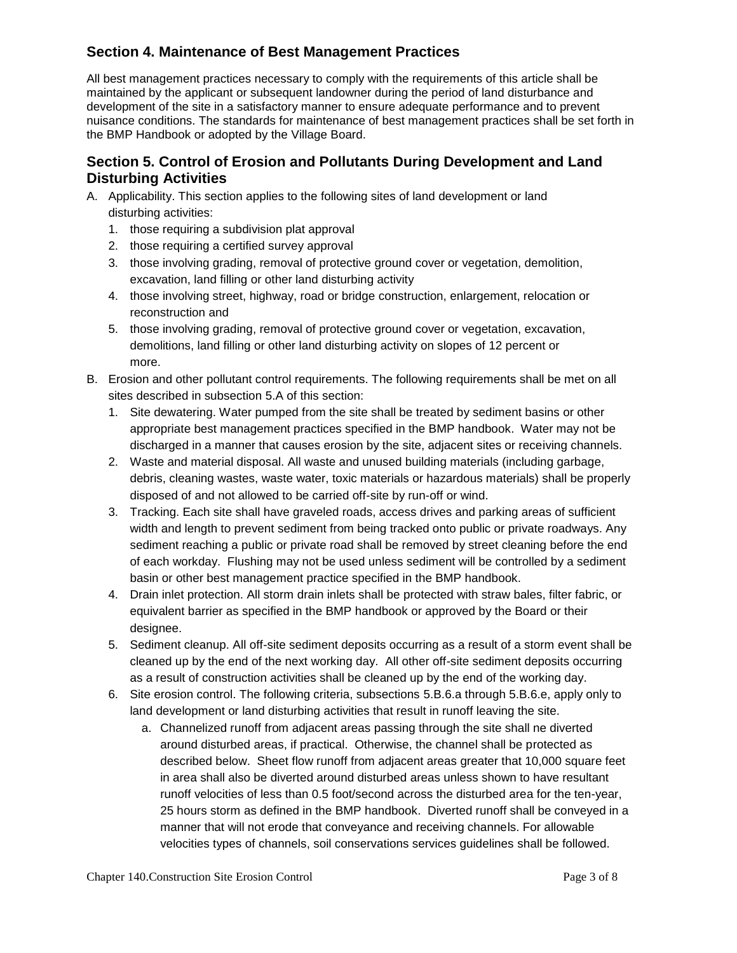### **Section 4. Maintenance of Best Management Practices**

All best management practices necessary to comply with the requirements of this article shall be maintained by the applicant or subsequent landowner during the period of land disturbance and development of the site in a satisfactory manner to ensure adequate performance and to prevent nuisance conditions. The standards for maintenance of best management practices shall be set forth in the BMP Handbook or adopted by the Village Board.

#### **Section 5. Control of Erosion and Pollutants During Development and Land Disturbing Activities**

- A. Applicability. This section applies to the following sites of land development or land disturbing activities:
	- 1. those requiring a subdivision plat approval
	- 2. those requiring a certified survey approval
	- 3. those involving grading, removal of protective ground cover or vegetation, demolition, excavation, land filling or other land disturbing activity
	- 4. those involving street, highway, road or bridge construction, enlargement, relocation or reconstruction and
	- 5. those involving grading, removal of protective ground cover or vegetation, excavation, demolitions, land filling or other land disturbing activity on slopes of 12 percent or more.
- B. Erosion and other pollutant control requirements. The following requirements shall be met on all sites described in subsection 5.A of this section:
	- 1. Site dewatering. Water pumped from the site shall be treated by sediment basins or other appropriate best management practices specified in the BMP handbook. Water may not be discharged in a manner that causes erosion by the site, adjacent sites or receiving channels.
	- 2. Waste and material disposal. All waste and unused building materials (including garbage, debris, cleaning wastes, waste water, toxic materials or hazardous materials) shall be properly disposed of and not allowed to be carried off-site by run-off or wind.
	- 3. Tracking. Each site shall have graveled roads, access drives and parking areas of sufficient width and length to prevent sediment from being tracked onto public or private roadways. Any sediment reaching a public or private road shall be removed by street cleaning before the end of each workday. Flushing may not be used unless sediment will be controlled by a sediment basin or other best management practice specified in the BMP handbook.
	- 4. Drain inlet protection. All storm drain inlets shall be protected with straw bales, filter fabric, or equivalent barrier as specified in the BMP handbook or approved by the Board or their designee.
	- 5. Sediment cleanup. All off-site sediment deposits occurring as a result of a storm event shall be cleaned up by the end of the next working day. All other off-site sediment deposits occurring as a result of construction activities shall be cleaned up by the end of the working day.
	- 6. Site erosion control. The following criteria, subsections 5.B.6.a through 5.B.6.e, apply only to land development or land disturbing activities that result in runoff leaving the site.
		- a. Channelized runoff from adjacent areas passing through the site shall ne diverted around disturbed areas, if practical. Otherwise, the channel shall be protected as described below. Sheet flow runoff from adjacent areas greater that 10,000 square feet in area shall also be diverted around disturbed areas unless shown to have resultant runoff velocities of less than 0.5 foot/second across the disturbed area for the ten-year, 25 hours storm as defined in the BMP handbook. Diverted runoff shall be conveyed in a manner that will not erode that conveyance and receiving channels. For allowable velocities types of channels, soil conservations services guidelines shall be followed.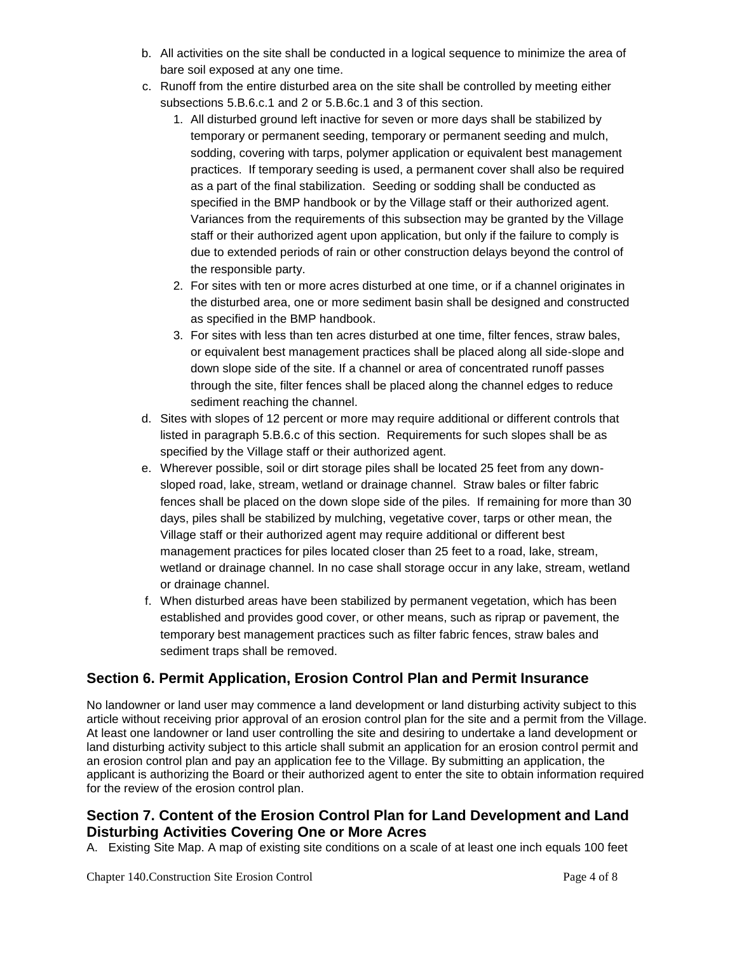- b. All activities on the site shall be conducted in a logical sequence to minimize the area of bare soil exposed at any one time.
- c. Runoff from the entire disturbed area on the site shall be controlled by meeting either subsections 5.B.6.c.1 and 2 or 5.B.6c.1 and 3 of this section.
	- 1. All disturbed ground left inactive for seven or more days shall be stabilized by temporary or permanent seeding, temporary or permanent seeding and mulch, sodding, covering with tarps, polymer application or equivalent best management practices. If temporary seeding is used, a permanent cover shall also be required as a part of the final stabilization. Seeding or sodding shall be conducted as specified in the BMP handbook or by the Village staff or their authorized agent. Variances from the requirements of this subsection may be granted by the Village staff or their authorized agent upon application, but only if the failure to comply is due to extended periods of rain or other construction delays beyond the control of the responsible party.
	- 2. For sites with ten or more acres disturbed at one time, or if a channel originates in the disturbed area, one or more sediment basin shall be designed and constructed as specified in the BMP handbook.
	- 3. For sites with less than ten acres disturbed at one time, filter fences, straw bales, or equivalent best management practices shall be placed along all side-slope and down slope side of the site. If a channel or area of concentrated runoff passes through the site, filter fences shall be placed along the channel edges to reduce sediment reaching the channel.
- d. Sites with slopes of 12 percent or more may require additional or different controls that listed in paragraph 5.B.6.c of this section. Requirements for such slopes shall be as specified by the Village staff or their authorized agent.
- e. Wherever possible, soil or dirt storage piles shall be located 25 feet from any downsloped road, lake, stream, wetland or drainage channel. Straw bales or filter fabric fences shall be placed on the down slope side of the piles. If remaining for more than 30 days, piles shall be stabilized by mulching, vegetative cover, tarps or other mean, the Village staff or their authorized agent may require additional or different best management practices for piles located closer than 25 feet to a road, lake, stream, wetland or drainage channel. In no case shall storage occur in any lake, stream, wetland or drainage channel.
- f. When disturbed areas have been stabilized by permanent vegetation, which has been established and provides good cover, or other means, such as riprap or pavement, the temporary best management practices such as filter fabric fences, straw bales and sediment traps shall be removed.

## **Section 6. Permit Application, Erosion Control Plan and Permit Insurance**

No landowner or land user may commence a land development or land disturbing activity subject to this article without receiving prior approval of an erosion control plan for the site and a permit from the Village. At least one landowner or land user controlling the site and desiring to undertake a land development or land disturbing activity subject to this article shall submit an application for an erosion control permit and an erosion control plan and pay an application fee to the Village. By submitting an application, the applicant is authorizing the Board or their authorized agent to enter the site to obtain information required for the review of the erosion control plan.

#### **Section 7. Content of the Erosion Control Plan for Land Development and Land Disturbing Activities Covering One or More Acres**

A. Existing Site Map. A map of existing site conditions on a scale of at least one inch equals 100 feet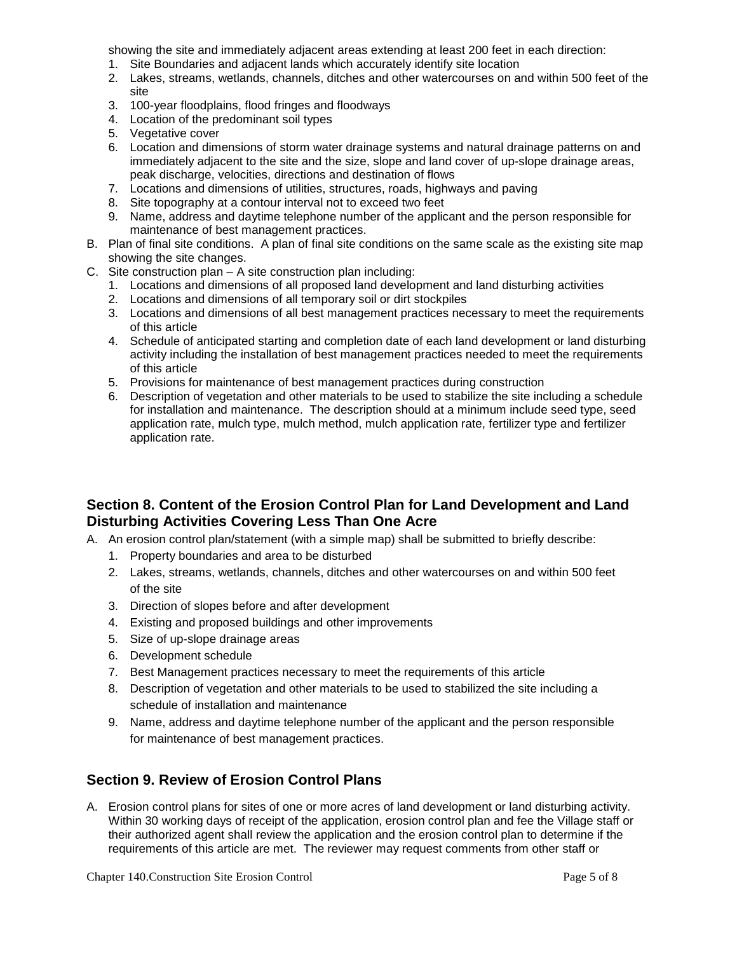showing the site and immediately adjacent areas extending at least 200 feet in each direction:

- 1. Site Boundaries and adjacent lands which accurately identify site location
- 2. Lakes, streams, wetlands, channels, ditches and other watercourses on and within 500 feet of the site
- 3. 100-year floodplains, flood fringes and floodways
- 4. Location of the predominant soil types
- 5. Vegetative cover
- 6. Location and dimensions of storm water drainage systems and natural drainage patterns on and immediately adjacent to the site and the size, slope and land cover of up-slope drainage areas, peak discharge, velocities, directions and destination of flows
- 7. Locations and dimensions of utilities, structures, roads, highways and paving
- 8. Site topography at a contour interval not to exceed two feet
- 9. Name, address and daytime telephone number of the applicant and the person responsible for maintenance of best management practices.
- B. Plan of final site conditions. A plan of final site conditions on the same scale as the existing site map showing the site changes.
- C. Site construction plan A site construction plan including:
	- 1. Locations and dimensions of all proposed land development and land disturbing activities
	- 2. Locations and dimensions of all temporary soil or dirt stockpiles
	- 3. Locations and dimensions of all best management practices necessary to meet the requirements of this article
	- 4. Schedule of anticipated starting and completion date of each land development or land disturbing activity including the installation of best management practices needed to meet the requirements of this article
	- 5. Provisions for maintenance of best management practices during construction
	- 6. Description of vegetation and other materials to be used to stabilize the site including a schedule for installation and maintenance. The description should at a minimum include seed type, seed application rate, mulch type, mulch method, mulch application rate, fertilizer type and fertilizer application rate.

#### **Section 8. Content of the Erosion Control Plan for Land Development and Land Disturbing Activities Covering Less Than One Acre**

- A. An erosion control plan/statement (with a simple map) shall be submitted to briefly describe:
	- 1. Property boundaries and area to be disturbed
	- 2. Lakes, streams, wetlands, channels, ditches and other watercourses on and within 500 feet of the site
	- 3. Direction of slopes before and after development
	- 4. Existing and proposed buildings and other improvements
	- 5. Size of up-slope drainage areas
	- 6. Development schedule
	- 7. Best Management practices necessary to meet the requirements of this article
	- 8. Description of vegetation and other materials to be used to stabilized the site including a schedule of installation and maintenance
	- 9. Name, address and daytime telephone number of the applicant and the person responsible for maintenance of best management practices.

#### **Section 9. Review of Erosion Control Plans**

A. Erosion control plans for sites of one or more acres of land development or land disturbing activity. Within 30 working days of receipt of the application, erosion control plan and fee the Village staff or their authorized agent shall review the application and the erosion control plan to determine if the requirements of this article are met. The reviewer may request comments from other staff or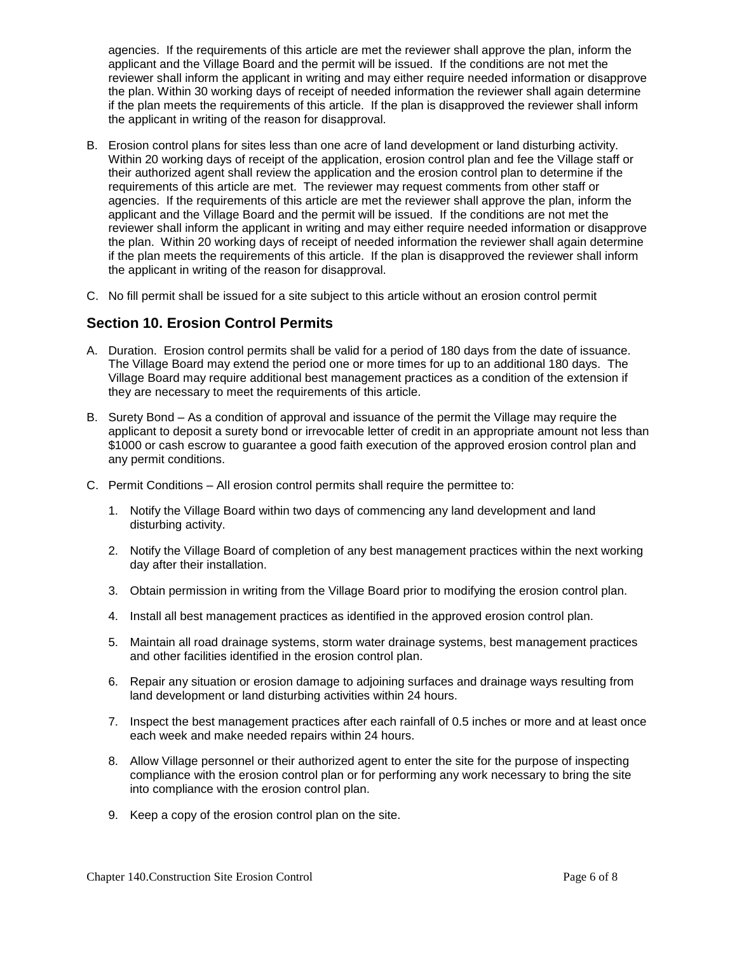agencies. If the requirements of this article are met the reviewer shall approve the plan, inform the applicant and the Village Board and the permit will be issued. If the conditions are not met the reviewer shall inform the applicant in writing and may either require needed information or disapprove the plan. Within 30 working days of receipt of needed information the reviewer shall again determine if the plan meets the requirements of this article. If the plan is disapproved the reviewer shall inform the applicant in writing of the reason for disapproval.

- B. Erosion control plans for sites less than one acre of land development or land disturbing activity. Within 20 working days of receipt of the application, erosion control plan and fee the Village staff or their authorized agent shall review the application and the erosion control plan to determine if the requirements of this article are met. The reviewer may request comments from other staff or agencies. If the requirements of this article are met the reviewer shall approve the plan, inform the applicant and the Village Board and the permit will be issued. If the conditions are not met the reviewer shall inform the applicant in writing and may either require needed information or disapprove the plan. Within 20 working days of receipt of needed information the reviewer shall again determine if the plan meets the requirements of this article. If the plan is disapproved the reviewer shall inform the applicant in writing of the reason for disapproval.
- C. No fill permit shall be issued for a site subject to this article without an erosion control permit

#### **Section 10. Erosion Control Permits**

- A. Duration. Erosion control permits shall be valid for a period of 180 days from the date of issuance. The Village Board may extend the period one or more times for up to an additional 180 days. The Village Board may require additional best management practices as a condition of the extension if they are necessary to meet the requirements of this article.
- B. Surety Bond As a condition of approval and issuance of the permit the Village may require the applicant to deposit a surety bond or irrevocable letter of credit in an appropriate amount not less than \$1000 or cash escrow to guarantee a good faith execution of the approved erosion control plan and any permit conditions.
- C. Permit Conditions All erosion control permits shall require the permittee to:
	- 1. Notify the Village Board within two days of commencing any land development and land disturbing activity.
	- 2. Notify the Village Board of completion of any best management practices within the next working day after their installation.
	- 3. Obtain permission in writing from the Village Board prior to modifying the erosion control plan.
	- 4. Install all best management practices as identified in the approved erosion control plan.
	- 5. Maintain all road drainage systems, storm water drainage systems, best management practices and other facilities identified in the erosion control plan.
	- 6. Repair any situation or erosion damage to adjoining surfaces and drainage ways resulting from land development or land disturbing activities within 24 hours.
	- 7. Inspect the best management practices after each rainfall of 0.5 inches or more and at least once each week and make needed repairs within 24 hours.
	- 8. Allow Village personnel or their authorized agent to enter the site for the purpose of inspecting compliance with the erosion control plan or for performing any work necessary to bring the site into compliance with the erosion control plan.
	- 9. Keep a copy of the erosion control plan on the site.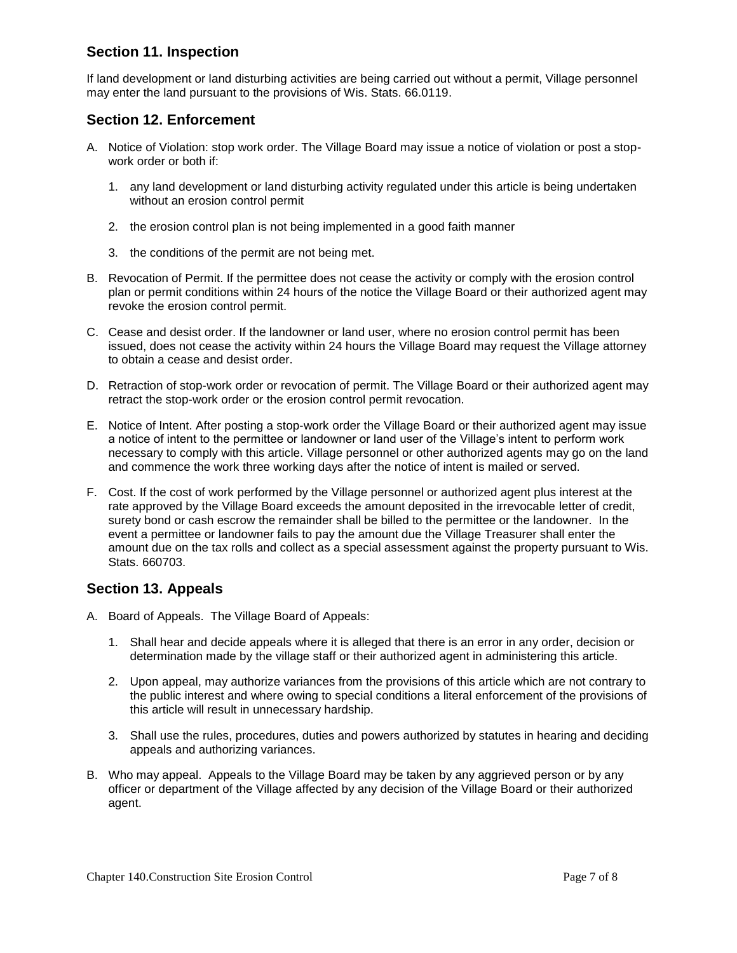### **Section 11. Inspection**

If land development or land disturbing activities are being carried out without a permit, Village personnel may enter the land pursuant to the provisions of Wis. Stats. 66.0119.

#### **Section 12. Enforcement**

- A. Notice of Violation: stop work order. The Village Board may issue a notice of violation or post a stopwork order or both if:
	- 1. any land development or land disturbing activity regulated under this article is being undertaken without an erosion control permit
	- 2. the erosion control plan is not being implemented in a good faith manner
	- 3. the conditions of the permit are not being met.
- B. Revocation of Permit. If the permittee does not cease the activity or comply with the erosion control plan or permit conditions within 24 hours of the notice the Village Board or their authorized agent may revoke the erosion control permit.
- C. Cease and desist order. If the landowner or land user, where no erosion control permit has been issued, does not cease the activity within 24 hours the Village Board may request the Village attorney to obtain a cease and desist order.
- D. Retraction of stop-work order or revocation of permit. The Village Board or their authorized agent may retract the stop-work order or the erosion control permit revocation.
- E. Notice of Intent. After posting a stop-work order the Village Board or their authorized agent may issue a notice of intent to the permittee or landowner or land user of the Village's intent to perform work necessary to comply with this article. Village personnel or other authorized agents may go on the land and commence the work three working days after the notice of intent is mailed or served.
- F. Cost. If the cost of work performed by the Village personnel or authorized agent plus interest at the rate approved by the Village Board exceeds the amount deposited in the irrevocable letter of credit, surety bond or cash escrow the remainder shall be billed to the permittee or the landowner. In the event a permittee or landowner fails to pay the amount due the Village Treasurer shall enter the amount due on the tax rolls and collect as a special assessment against the property pursuant to Wis. Stats. 660703.

#### **Section 13. Appeals**

- A. Board of Appeals. The Village Board of Appeals:
	- 1. Shall hear and decide appeals where it is alleged that there is an error in any order, decision or determination made by the village staff or their authorized agent in administering this article.
	- 2. Upon appeal, may authorize variances from the provisions of this article which are not contrary to the public interest and where owing to special conditions a literal enforcement of the provisions of this article will result in unnecessary hardship.
	- 3. Shall use the rules, procedures, duties and powers authorized by statutes in hearing and deciding appeals and authorizing variances.
- B. Who may appeal. Appeals to the Village Board may be taken by any aggrieved person or by any officer or department of the Village affected by any decision of the Village Board or their authorized agent.